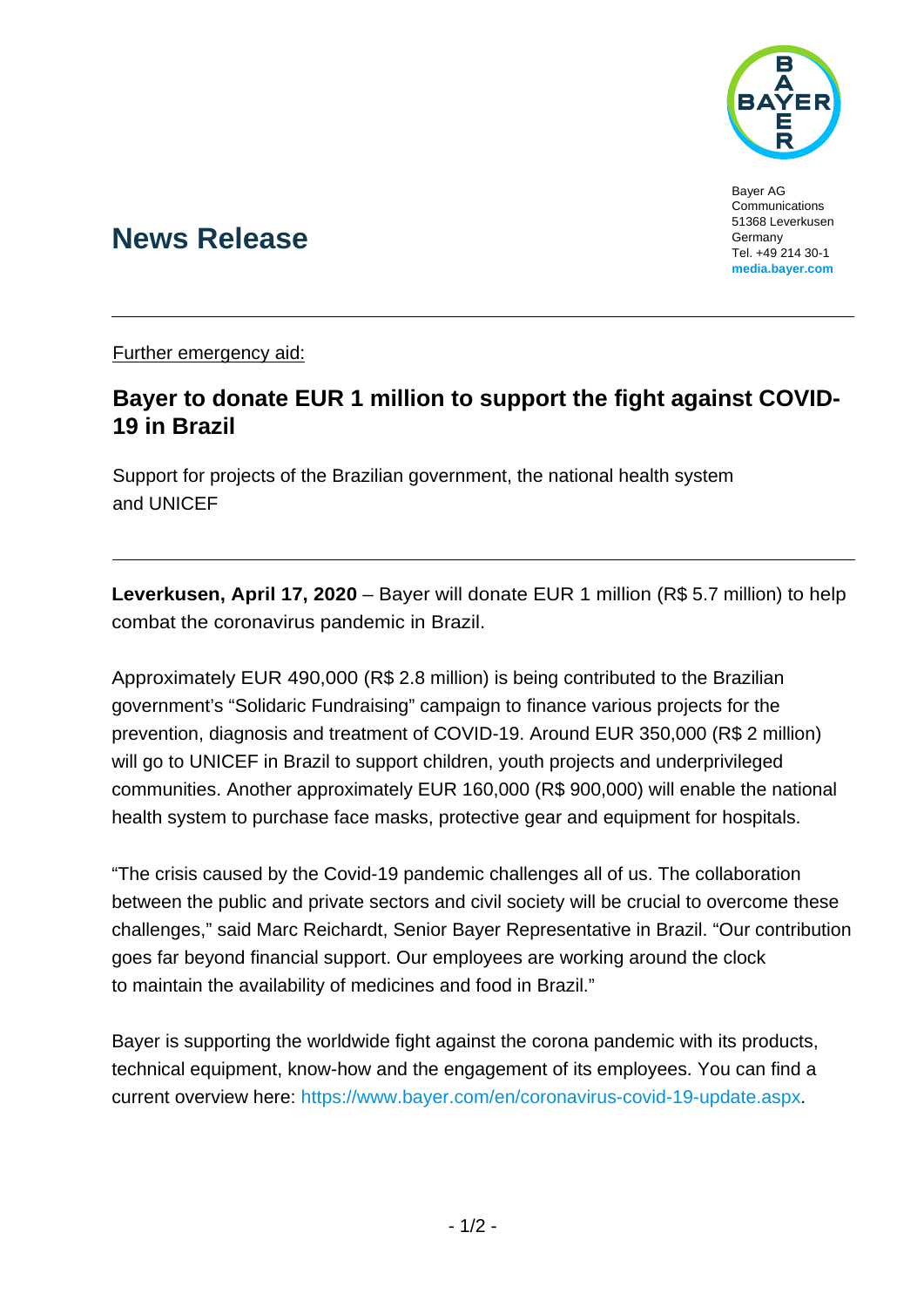

Bayer AG Communications 51368 Leverkusen Germany Tel. +49 214 30-1 **[media.bayer.com](http://media.bayer.de/)**

## **News Release**

Further emergency aid:

## **Bayer to donate EUR 1 million to support the fight against COVID-19 in Brazil**

Support for projects of the Brazilian government, the national health system and UNICEF

**Leverkusen, April 17, 2020** – Bayer will donate EUR 1 million (R\$ 5.7 million) to help combat the coronavirus pandemic in Brazil.

Approximately EUR 490,000 (R\$ 2.8 million) is being contributed to the Brazilian government's "Solidaric Fundraising" campaign to finance various projects for the prevention, diagnosis and treatment of COVID-19. Around EUR 350,000 (R\$ 2 million) will go to UNICEF in Brazil to support children, youth projects and underprivileged communities. Another approximately EUR 160,000 (R\$ 900,000) will enable the national health system to purchase face masks, protective gear and equipment for hospitals.

"The crisis caused by the Covid-19 pandemic challenges all of us. The collaboration between the public and private sectors and civil society will be crucial to overcome these challenges," said Marc Reichardt, Senior Bayer Representative in Brazil. "Our contribution goes far beyond financial support. Our employees are working around the clock to maintain the availability of medicines and food in Brazil."

Bayer is supporting the worldwide fight against the corona pandemic with its products, technical equipment, know-how and the engagement of its employees. You can find a current overview here: [https://www.bayer.com/en/coronavirus-covid-19-update.aspx.](https://www.bayer.com/en/coronavirus-covid-19-update.aspx)